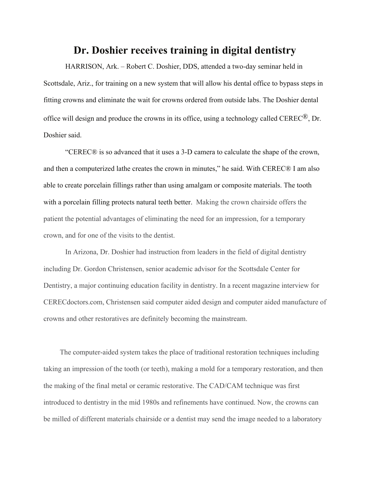## **Dr. Doshier receives training in digital dentistry**

 HARRISON, Ark. – Robert C. Doshier, DDS, attended a two-day seminar held in Scottsdale, Ariz., for training on a new system that will allow his dental office to bypass steps in fitting crowns and eliminate the wait for crowns ordered from outside labs. The Doshier dental office will design and produce the crowns in its office, using a technology called CEREC®, Dr. Doshier said.

 "CEREC® is so advanced that it uses a 3-D camera to calculate the shape of the crown, and then a computerized lathe creates the crown in minutes," he said. With CEREC® I am also able to create porcelain fillings rather than using amalgam or composite materials. The tooth with a porcelain filling protects natural teeth better. Making the crown chairside offers the patient the potential advantages of eliminating the need for an impression, for a temporary crown, and for one of the visits to the dentist.

 In Arizona, Dr. Doshier had instruction from leaders in the field of digital dentistry including Dr. Gordon Christensen, senior academic advisor for the Scottsdale Center for Dentistry, a major continuing education facility in dentistry. In a recent magazine interview for CERECdoctors.com, Christensen said computer aided design and computer aided manufacture of crowns and other restoratives are definitely becoming the mainstream.

 The computer-aided system takes the place of traditional restoration techniques including taking an impression of the tooth (or teeth), making a mold for a temporary restoration, and then the making of the final metal or ceramic restorative. The CAD/CAM technique was first introduced to dentistry in the mid 1980s and refinements have continued. Now, the crowns can be milled of different materials chairside or a dentist may send the image needed to a laboratory